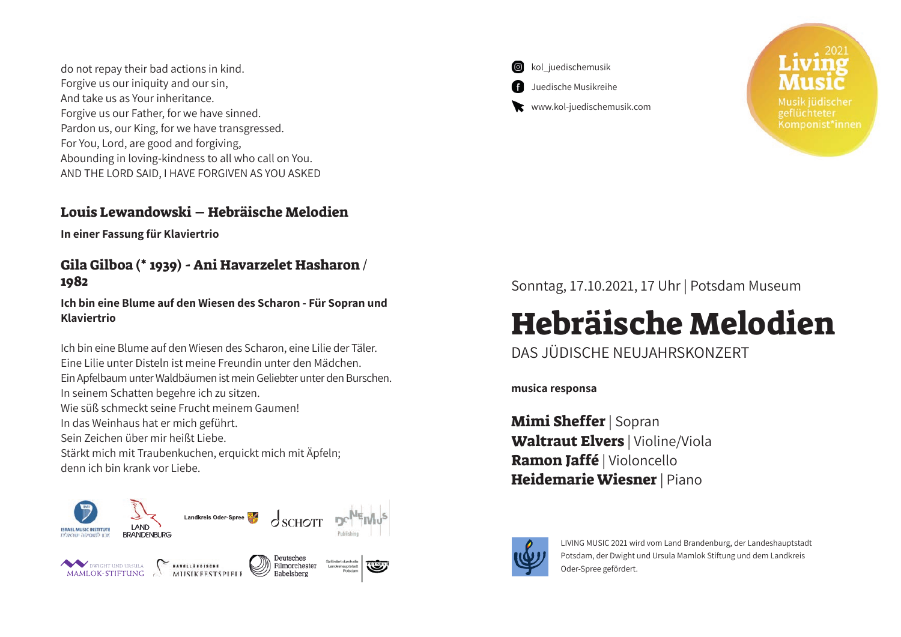do not repay their bad actions in kind. Forgive us our iniquity and our sin. And take us as Your inheritance. Forgive us our Father, for we have sinned. Pardon us, our King, for we have transgressed. For You, Lord, are good and forgiving, Abounding in loving-kindness to all who call on You. AND THE LORD SAID, I HAVE FORGIVEN AS YOU ASKED

#### Louis Lewandowski – Hebräische Melodien

**In einer Fassung für Klaviertrio**

#### Gila Gilboa (\* 1939) - Ani Havarzelet Hasharon / 1982

**Ich bin eine Blume auf den Wiesen des Scharon - Für Sopran und Klaviertrio**

Ich bin eine Blume auf den Wiesen des Scharon, eine Lilie der Täler. Eine Lilie unter Disteln ist meine Freundin unter den Mädchen. Ein Apfelbaum unter Waldbäumen ist mein Geliebter unter den Burschen. In seinem Schatten begehre ich zu sitzen. Wie süß schmeckt seine Frucht meinem Gaumen! In das Weinhaus hat er mich geführt. Sein Zeichen über mir heißt Liebe. Stärkt mich mit Traubenkuchen, erquickt mich mit Äpfeln; denn ich bin krank vor Liebe.





www.kol-juedischemusik.com

Komponist\*innen

Sonntag, 17.10.2021, 17 Uhr | Potsdam Museum

# Hebräische Melodien

## DAS JÜDISCHE NEUJAHRSKONZERT

**musica responsa**

Mimi Sheffer | Sopran Waltraut Elvers | Violine/Viola Ramon Jaffé | Violoncello Heidemarie Wiesner | Piano



LIVING MUSIC 2021 wird vom Land Brandenburg, der Landeshauptstadt Potsdam, der Dwight und Ursula Mamlok Stiftung und dem Landkreis Oder-Spree gefördert.